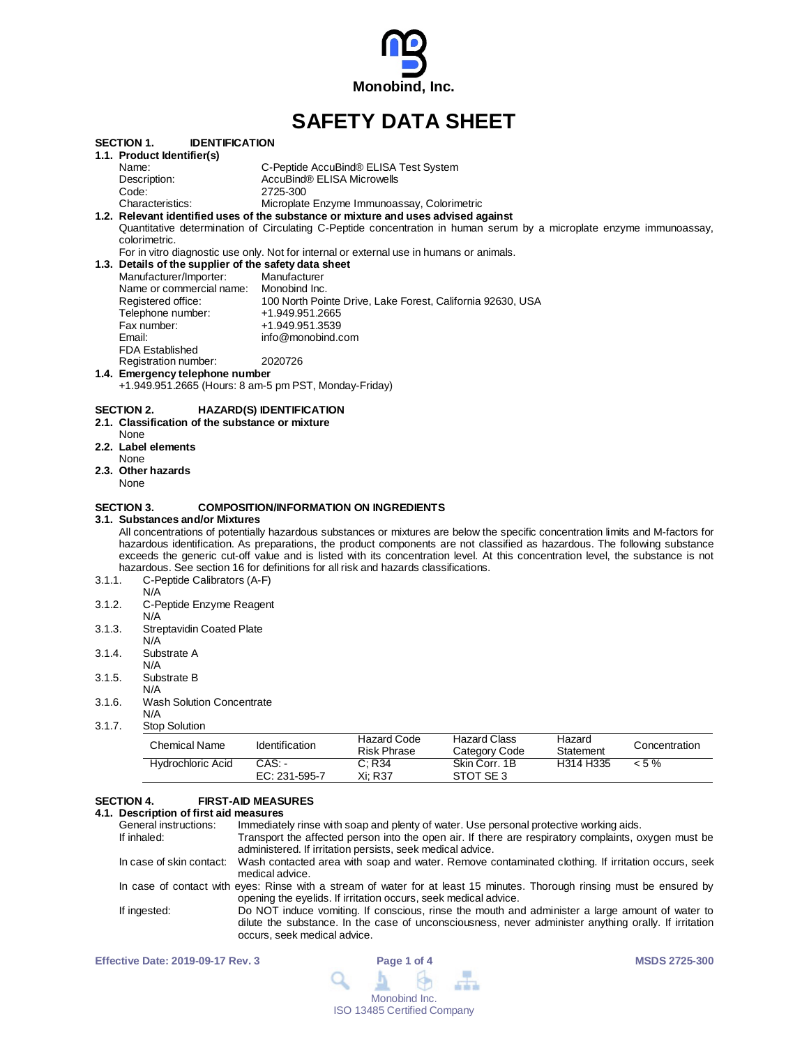

# **SAFETY DATA SHEET**

|        | <b>IDENTIFICATION</b><br>SECTION 1.                   |                                                                                                                                  |
|--------|-------------------------------------------------------|----------------------------------------------------------------------------------------------------------------------------------|
|        | 1.1. Product Identifier(s)                            |                                                                                                                                  |
|        | Name:                                                 | C-Peptide AccuBind® ELISA Test System                                                                                            |
|        | Description:                                          | AccuBind® ELISA Microwells                                                                                                       |
|        | Code:                                                 | 2725-300                                                                                                                         |
|        | Characteristics:                                      | Microplate Enzyme Immunoassay, Colorimetric                                                                                      |
|        |                                                       | 1.2. Relevant identified uses of the substance or mixture and uses advised against                                               |
|        |                                                       | Quantitative determination of Circulating C-Peptide concentration in human serum by a microplate enzyme immunoassay,             |
|        | colorimetric.                                         |                                                                                                                                  |
|        |                                                       | For in vitro diagnostic use only. Not for internal or external use in humans or animals.                                         |
|        | 1.3. Details of the supplier of the safety data sheet |                                                                                                                                  |
|        | Manufacturer/Importer:                                | Manufacturer                                                                                                                     |
|        | Name or commercial name:                              | Monobind Inc.                                                                                                                    |
|        | Registered office:                                    | 100 North Pointe Drive, Lake Forest, California 92630, USA                                                                       |
|        | Telephone number:                                     | +1.949.951.2665                                                                                                                  |
|        | Fax number:                                           | +1.949.951.3539                                                                                                                  |
|        | Email:                                                | info@monobind.com                                                                                                                |
|        | <b>FDA Established</b>                                |                                                                                                                                  |
|        | Registration number:                                  | 2020726                                                                                                                          |
|        | 1.4. Emergency telephone number                       |                                                                                                                                  |
|        | +1.949.951.2665 (Hours: 8 am-5 pm PST, Monday-Friday) |                                                                                                                                  |
|        |                                                       |                                                                                                                                  |
|        | SECTION 2.                                            | <b>HAZARD(S) IDENTIFICATION</b>                                                                                                  |
|        | 2.1. Classification of the substance or mixture       |                                                                                                                                  |
|        | None                                                  |                                                                                                                                  |
|        | 2.2. Label elements                                   |                                                                                                                                  |
|        | None                                                  |                                                                                                                                  |
|        | 2.3. Other hazards                                    |                                                                                                                                  |
|        | None                                                  |                                                                                                                                  |
|        |                                                       |                                                                                                                                  |
|        | SECTION 3.                                            | <b>COMPOSITION/INFORMATION ON INGREDIENTS</b>                                                                                    |
|        | 3.1.Substances and/or Mixtures                        |                                                                                                                                  |
|        |                                                       | All concentrations of potentially hazardous substances or mixtures are below the specific concentration limits and M-factors for |
|        |                                                       | hazardous identification. As preparations, the product components are not classified as hazardous. The following substance       |
|        |                                                       | exceeds the generic cut-off value and is listed with its concentration level. At this concentration level, the substance is not  |
|        |                                                       | hazardous. See section 16 for definitions for all risk and hazards classifications.                                              |
| 3.1.1. | C-Peptide Calibrators (A-F)                           |                                                                                                                                  |
|        | N/A                                                   |                                                                                                                                  |
| 3.1.2. | C-Peptide Enzyme Reagent                              |                                                                                                                                  |
|        | N/A                                                   |                                                                                                                                  |
| 3.1.3. | <b>Streptavidin Coated Plate</b>                      |                                                                                                                                  |
|        | N/A                                                   |                                                                                                                                  |
| 3.1.4. | Substrate A                                           |                                                                                                                                  |
|        | N/A                                                   |                                                                                                                                  |
| 3.1.5. | Substrate B                                           |                                                                                                                                  |
|        | N/A                                                   |                                                                                                                                  |

- 3.1.6. Wash Solution Concentrate
- N/A 3.1.7. Stop Solution

| Chemical Name     | Identification          | Hazard Code<br>Risk Phrase | <b>Hazard Class</b><br>Category Code | Hazard<br>Statement | Concentration |
|-------------------|-------------------------|----------------------------|--------------------------------------|---------------------|---------------|
| Hydrochloric Acid | CAS: -<br>EC: 231-595-7 | C: R34<br>Xi: R37          | Skin Corr. 1B<br>STOT SE3            | H314 H335           | $< 5 \%$      |

# **SECTION 4. FIRST-AID MEASURES**

# **4.1. Description of first aid measures**

| General instructions: | Immediately rinse with soap and plenty of water. Use personal protective working aids.                                                                                                                                                   |
|-----------------------|------------------------------------------------------------------------------------------------------------------------------------------------------------------------------------------------------------------------------------------|
| If inhaled:           | Transport the affected person into the open air. If there are respiratory complaints, oxygen must be<br>administered. If irritation persists, seek medical advice.                                                                       |
|                       | In case of skin contact: Wash contacted area with soap and water. Remove contaminated clothing. If irritation occurs, seek<br>medical advice.                                                                                            |
|                       | In case of contact with eyes: Rinse with a stream of water for at least 15 minutes. Thorough rinsing must be ensured by<br>opening the eyelids. If irritation occurs, seek medical advice.                                               |
| If ingested:          | Do NOT induce vomiting. If conscious, rinse the mouth and administer a large amount of water to<br>dilute the substance. In the case of unconsciousness, never administer anything orally. If irritation<br>occurs, seek medical advice. |

| <b>Effective Date: 2019-09-17 Rev. 3</b> | Page 1 of 4                                                                      | <b>MSDS 2725-300</b> |
|------------------------------------------|----------------------------------------------------------------------------------|----------------------|
|                                          | $\begin{array}{c} \mathbf{A} & \mathbf{B} & \mathbf{B} & \mathbf{B} \end{array}$ |                      |
|                                          | Monobind Inc.                                                                    |                      |
|                                          | <b>ISO 13485 Certified Company</b>                                               |                      |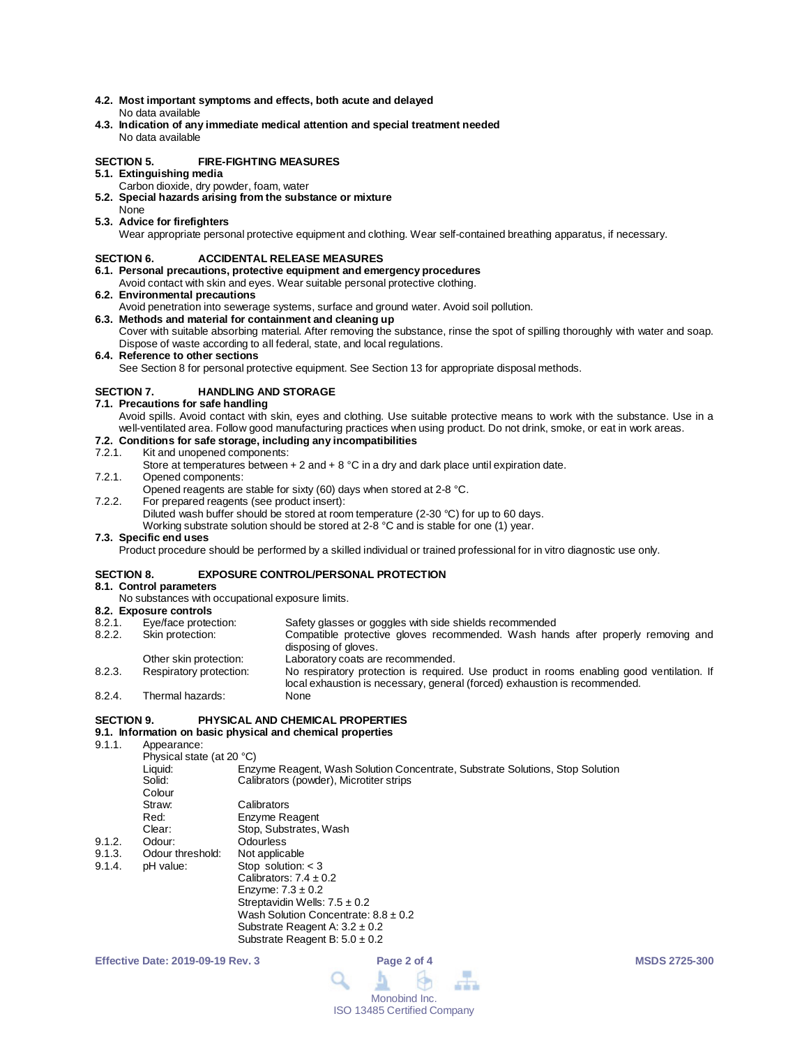- **4.2. Most important symptoms and effects, both acute and delayed** No data available
- **4.3. Indication of any immediate medical attention and special treatment needed** No data available

## **SECTION 5. FIRE-FIGHTING MEASURES**

- **5.1. Extinguishing media**
	- Carbon dioxide, dry powder, foam, water
- **5.2. Special hazards arising from the substance or mixture** None
- **5.3. Advice for firefighters**

Wear appropriate personal protective equipment and clothing. Wear self-contained breathing apparatus, if necessary.

### **SECTION 6. ACCIDENTAL RELEASE MEASURES**

- **6.1. Personal precautions, protective equipment and emergency procedures**
- Avoid contact with skin and eyes. Wear suitable personal protective clothing.
- **6.2. Environmental precautions**
	- Avoid penetration into sewerage systems, surface and ground water. Avoid soil pollution.
- **6.3. Methods and material for containment and cleaning up** Cover with suitable absorbing material. After removing the substance, rinse the spot of spilling thoroughly with water and soap. Dispose of waste according to all federal, state, and local regulations.
- **6.4. Reference to other sections**

See Section 8 for personal protective equipment. See Section 13 for appropriate disposal methods.

# **SECTION 7. HANDLING AND STORAGE**

- **7.1. Precautions for safe handling**
	- Avoid spills. Avoid contact with skin, eyes and clothing. Use suitable protective means to work with the substance. Use in a well-ventilated area. Follow good manufacturing practices when using product. Do not drink, smoke, or eat in work areas.

# **7.2. Conditions for safe storage, including any incompatibilities**

### Kit and unopened components:

- Store at temperatures between  $+ 2$  and  $+ 8$  °C in a dry and dark place until expiration date.
- 7.2.1. Opened components:
- Opened reagents are stable for sixty (60) days when stored at 2-8 °C.
- 7.2.2. For prepared reagents (see product insert):
	- Diluted wash buffer should be stored at room temperature (2-30 °C) for up to 60 days.

Working substrate solution should be stored at 2-8 °C and is stable for one (1) year.

### **7.3. Specific end uses**

Product procedure should be performed by a skilled individual or trained professional for in vitro diagnostic use only.

### **SECTION 8. EXPOSURE CONTROL/PERSONAL PROTECTION**

## **8.1. Control parameters**

No substances with occupational exposure limits.

# **8.2. Exposure controls**

| 8.2.1. | Eye/face protection:    | Safety glasses or goggles with side shields recommended                                                                                                                 |
|--------|-------------------------|-------------------------------------------------------------------------------------------------------------------------------------------------------------------------|
| 8.2.2. | Skin protection:        | Compatible protective gloves recommended. Wash hands after properly removing and<br>disposing of gloves.                                                                |
|        | Other skin protection:  | Laboratory coats are recommended.                                                                                                                                       |
| 8.2.3. | Respiratory protection: | No respiratory protection is required. Use product in rooms enabling good ventilation. If<br>local exhaustion is necessary, general (forced) exhaustion is recommended. |
| 8.2.4. | Thermal hazards:        | None                                                                                                                                                                    |

# **SECTION 9. PHYSICAL AND CHEMICAL PROPERTIES**

# **9.1. Information on basic physical and chemical properties**

Appearance: Physical state (at 20 °C)<br>Liquid: Enz Liquid: Enzyme Reagent, Wash Solution Concentrate, Substrate Solutions, Stop Solution<br>Solid: Calibrators (powder). Microtiter strips Calibrators (powder), Microtiter strips Colour<br>Straw: Straw: Calibrators<br>
Red: Enzyme Re Red: Enzyme Reagent<br>Clear: Stop, Substrates, Clear: Stop, Substrates, Wash<br>
Odour: Odourless 9.1.2. Odour: Odourless 9.1.3. Odour threshold: Not applicable<br>9.1.4. pH value: Stop solution: Stop solution:  $<$  3 Calibrators:  $7.4 \pm 0.2$ Enzyme:  $7.3 \pm 0.2$ Streptavidin Wells:  $7.5 \pm 0.2$ Wash Solution Concentrate:  $8.8 \pm 0.2$ Substrate Reagent A: 3.2 ± 0.2 Substrate Reagent B:  $5.0 \pm 0.2$ 

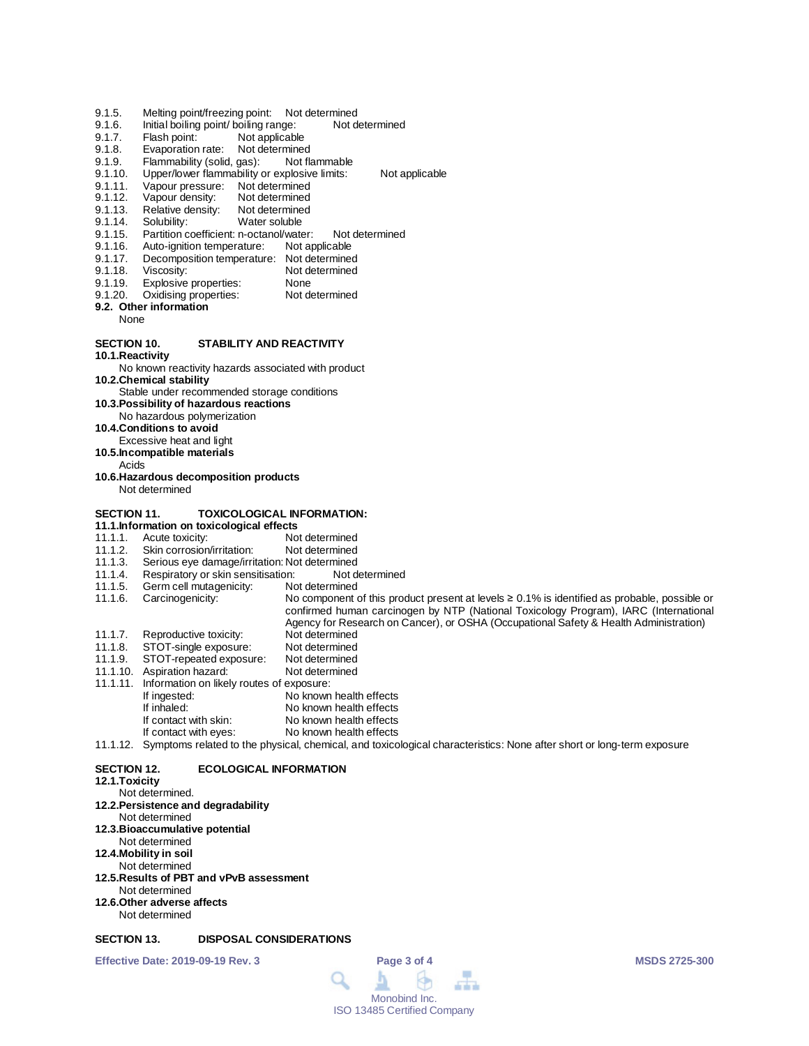- 
- 9.1.5. Melting point/freezing point: Not determined<br>9.1.6. Initial boiling point/ boiling range: Not determined 9.1.6. Initial boiling point/ boiling range:<br>9.1.7. Flash point: Not applicable
- Not applicable
- 
- 9.1.8. Evaporation rate: Not determined<br>9.1.9. Flammability (solid. gas): Not flammable 9.1.9. Flammability (solid, gas):<br>9.1.10. Upper/lower flammability of
- 9.1.10. Upper/lower flammability or explosive limits: Not applicable<br>9.1.11. Vapour pressure: Not determined
- 9.1.11. Vapour pressure: Not determined<br>9.1.12. Vapour density: Not determined
- 9.1.12. Vapour density: Not determined<br>9.1.13. Relative density: Not determined
- 9.1.13. Relative density:<br>9.1.14. Solubility:
- 9.1.14. Solubility: Water soluble<br>9.1.15. Partition coefficient: n-octanol/wate
- 9.1.15. Partition coefficient: n-octanol/water: Not determined<br>9.1.16. Auto-ignition temperature: Not applicable
- 9.1.16. Auto-ignition temperature:<br>9.1.17. Decomposition temperature
- 9.1.17. Decomposition temperature: Not determined<br>9.1.18. Viscosity: Not determined
- 
- 9.1.18. Viscosity: Not determined<br>9.1.19. Explosive properties: None
- 9.1.19. Explosive properties: None<br>9.1.20. Oxidising properties: Not determined Oxidising properties:
- **9.2. Other information**
	- None

### **SECTION 10. STABILITY AND REACTIVITY**

**10.1.Reactivity**

No known reactivity hazards associated with product

**10.2.Chemical stability**

Stable under recommended storage conditions

- **10.3.Possibility of hazardous reactions**
- No hazardous polymerization
- **10.4.Conditions to avoid**
- Excessive heat and light
- **10.5.Incompatible materials**
	- Acids
- **10.6.Hazardous decomposition products** Not determined
- 

# **SECTION 11. TOXICOLOGICAL INFORMATION:**

- **11.1.Information on toxicological effects**
- 11.1.1. Acute toxicity:<br>11.1.2. Skin corrosion/irritation: Not determined
- 11.1.2. Skin corrosion/irritation:<br>11.1.3. Serious eye damage/irri
- 11.1.3. Serious eye damage/irritation: Not determined<br>11.1.4. Respiratory or skin sensitisation: Not determined
- 11.1.4. Respiratory or skin sensitisation: Not d<br>11.1.5. Germ cell mutagenicity: Not determined
- Germ cell mutagenicity:

11.1.6. Carcinogenicity: No component of this product present at levels ≥ 0.1% is identified as probable, possible or confirmed human carcinogen by NTP (National Toxicology Program), IARC (International Agency for Research on Cancer), or OSHA (Occupational Safety & Health Administration)

- 11.1.7. Reproductive toxicity: Not determined<br>11.1.8. STOT-single exposure: Not determined
- 11.1.8. STOT-single exposure: Not determined<br>11.1.9. STOT-repeated exposure: Not determined
- STOT-repeated exposure: Not determined<br>Aspiration hazard: Not determined 11.1.10. Aspiration hazard:
- 
- 11.1.11. Information on likely routes of exposure: No known health effects
- 
- If inhaled: No known health effects<br>If contact with skin: No known health effects
- If contact with skin: No known health effects<br>If contact with eyes: No known health effects No known health effects
- 11.1.12. Symptoms related to the physical, chemical, and toxicological characteristics: None after short or long-term exposure

### **SECTION 12. ECOLOGICAL INFORMATION**

## **12.1.Toxicity**

Not determined. **12.2.Persistence and degradability** Not determined **12.3.Bioaccumulative potential** Not determined **12.4.Mobility in soil** Not determined **12.5.Results of PBT and vPvB assessment** Not determined **12.6.Other adverse affects** Not determined

# **SECTION 13. DISPOSAL CONSIDERATIONS**